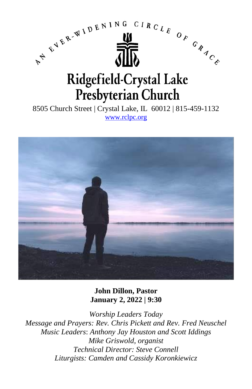

8505 Church Street | Crystal Lake, IL 60012 | 815-459-1132 [www.rclpc.org](http://www.rclpc.org/)



**John Dillon, Pastor January 2, 2022 | 9:30**

*Worship Leaders Today Message and Prayers: Rev. Chris Pickett and Rev. Fred Neuschel Music Leaders*: *Anthony Jay Houston and Scott Iddings Mike Griswold, organist Technical Director: Steve Connell Liturgists: Camden and Cassidy Koronkiewicz*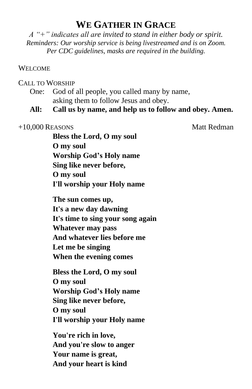# **WE GATHER IN GRACE**

*A "+" indicates all are invited to stand in either body or spirit. Reminders: Our worship service is being livestreamed and is on Zoom. Per CDC guidelines, masks are required in the building.*

## WELCOME.

## CALL TO WORSHIP

One: God of all people, you called many by name, asking them to follow Jesus and obey.

## **All: Call us by name, and help us to follow and obey. Amen.**

## +10,000 REASONS Matt Redman

**Bless the Lord, O my soul O my soul Worship God's Holy name Sing like never before, O my soul I'll worship your Holy name** 

**The sun comes up, It's a new day dawning It's time to sing your song again Whatever may pass And whatever lies before me Let me be singing When the evening comes**

**Bless the Lord, O my soul O my soul Worship God's Holy name Sing like never before, O my soul I'll worship your Holy name** 

**You're rich in love, And you're slow to anger Your name is great, And your heart is kind**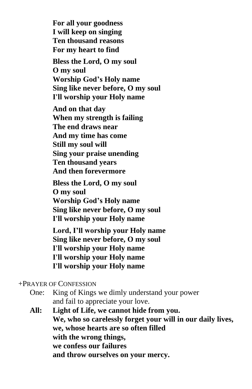**For all your goodness I will keep on singing Ten thousand reasons For my heart to find Bless the Lord, O my soul O my soul Worship God's Holy name Sing like never before, O my soul I'll worship your Holy name And on that day When my strength is failing The end draws near And my time has come Still my soul will** 

**Sing your praise unending Ten thousand years And then forevermore**

**Bless the Lord, O my soul O my soul Worship God's Holy name Sing like never before, O my soul I'll worship your Holy name** 

**Lord, I'll worship your Holy name Sing like never before, O my soul I'll worship your Holy name I'll worship your Holy name I'll worship your Holy name**

## +PRAYER OF CONFESSION

One: King of Kings we dimly understand your power and fail to appreciate your love.

**All: Light of Life, we cannot hide from you. We, who so carelessly forget your will in our daily lives, we, whose hearts are so often filled with the wrong things, we confess our failures and throw ourselves on your mercy.**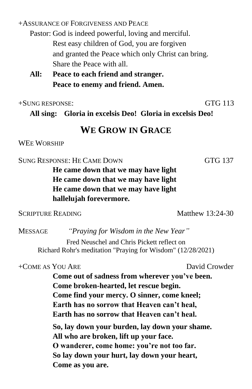+ASSURANCE OF FORGIVENESS AND PEACE Pastor: God is indeed powerful, loving and merciful. Rest easy children of God, you are forgiven and granted the Peace which only Christ can bring. Share the Peace with all.

**All: Peace to each friend and stranger. Peace to enemy and friend. Amen.**

+SUNG RESPONSE: GTG 113

**All sing: Gloria in excelsis Deo! Gloria in excelsis Deo!**

# **WE GROW IN GRACE**

WEE WORSHIP

SUNG RESPONSE: HE CAME DOWN GTG 137

**He came down that we may have light He came down that we may have light He came down that we may have light hallelujah forevermore.**

SCRIPTURE READING Matthew 13:24-30

MESSAGE *"Praying for Wisdom in the New Year"*

Fred Neuschel and Chris Pickett reflect on Richard Rohr's meditation "Praying for Wisdom" (12/28/2021)

## +COME AS YOU ARE David Crowder

**Come out of sadness from wherever you've been. Come broken-hearted, let rescue begin. Come find your mercy. O sinner, come kneel; Earth has no sorrow that Heaven can't heal, Earth has no sorrow that Heaven can't heal.**

**So, lay down your burden, lay down your shame. All who are broken, lift up your face. O wanderer, come home: you're not too far. So lay down your hurt, lay down your heart, Come as you are.**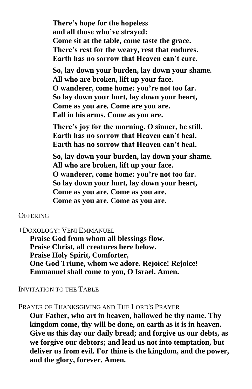**There's hope for the hopeless and all those who've strayed: Come sit at the table, come taste the grace. There's rest for the weary, rest that endures. Earth has no sorrow that Heaven can't cure.**

**So, lay down your burden, lay down your shame. All who are broken, lift up your face. O wanderer, come home: you're not too far. So lay down your hurt, lay down your heart, Come as you are. Come are you are. Fall in his arms. Come as you are.**

**There's joy for the morning. O sinner, be still. Earth has no sorrow that Heaven can't heal. Earth has no sorrow that Heaven can't heal.**

**So, lay down your burden, lay down your shame. All who are broken, lift up your face. O wanderer, come home: you're not too far. So lay down your hurt, lay down your heart, Come as you are. Come as you are. Come as you are. Come as you are.**

## **OFFERING**

+DOXOLOGY: VENI EMMANUEL

**Praise God from whom all blessings flow. Praise Christ, all creatures here below. Praise Holy Spirit, Comforter, One God Triune, whom we adore. Rejoice! Rejoice! Emmanuel shall come to you, O Israel. Amen.**

## INVITATION TO THE TABLE

## PRAYER OF THANKSGIVING AND THE LORD'S PRAYER

**Our Father, who art in heaven, hallowed be thy name. Thy kingdom come, thy will be done, on earth as it is in heaven. Give us this day our daily bread; and forgive us our debts, as we forgive our debtors; and lead us not into temptation, but deliver us from evil. For thine is the kingdom, and the power, and the glory, forever. Amen.**